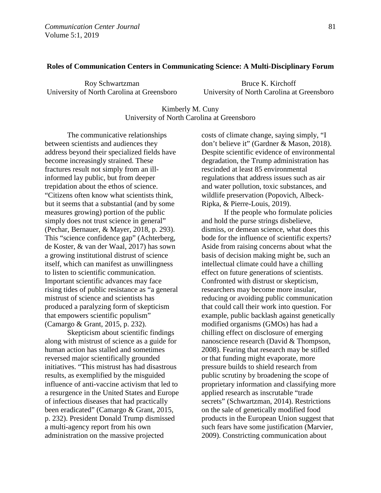#### **Roles of Communication Centers in Communicating Science: A Multi-Disciplinary Forum**

Roy Schwartzman University of North Carolina at Greensboro

Bruce K. Kirchoff University of North Carolina at Greensboro

# Kimberly M. Cuny University of North Carolina at Greensboro

The communicative relationships between scientists and audiences they address beyond their specialized fields have become increasingly strained. These fractures result not simply from an illinformed lay public, but from deeper trepidation about the ethos of science. "Citizens often know what scientists think, but it seems that a substantial (and by some measures growing) portion of the public simply does not trust science in general" (Pechar, Bernauer, & Mayer, 2018, p. 293). This "science confidence gap" (Achterberg, de Koster, & van der Waal, 2017) has sown a growing institutional distrust of science itself, which can manifest as unwillingness to listen to scientific communication. Important scientific advances may face rising tides of public resistance as "a general mistrust of science and scientists has produced a paralyzing form of skepticism that empowers scientific populism" (Camargo & Grant, 2015, p. 232).

Skepticism about scientific findings along with mistrust of science as a guide for human action has stalled and sometimes reversed major scientifically grounded initiatives. "This mistrust has had disastrous results, as exemplified by the misguided influence of anti-vaccine activism that led to a resurgence in the United States and Europe of infectious diseases that had practically been eradicated" (Camargo & Grant, 2015, p. 232). President Donald Trump dismissed a multi-agency report from his own administration on the massive projected

costs of climate change, saying simply, "I don't believe it" (Gardner & Mason, 2018). Despite scientific evidence of environmental degradation, the Trump administration has rescinded at least 85 environmental regulations that address issues such as air and water pollution, toxic substances, and wildlife preservation (Popovich, Albeck-Ripka, & Pierre-Louis, 2019).

 If the people who formulate policies and hold the purse strings disbelieve, dismiss, or demean science, what does this bode for the influence of scientific experts? Aside from raising concerns about what the basis of decision making might be, such an intellectual climate could have a chilling effect on future generations of scientists. Confronted with distrust or skepticism, researchers may become more insular, reducing or avoiding public communication that could call their work into question. For example, public backlash against genetically modified organisms (GMOs) has had a chilling effect on disclosure of emerging nanoscience research (David & Thompson, 2008). Fearing that research may be stifled or that funding might evaporate, more pressure builds to shield research from public scrutiny by broadening the scope of proprietary information and classifying more applied research as inscrutable "trade secrets" (Schwartzman, 2014). Restrictions on the sale of genetically modified food products in the European Union suggest that such fears have some justification (Marvier, 2009). Constricting communication about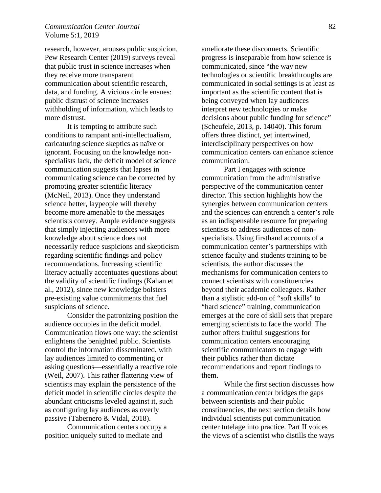## *Communication Center Journal* 82 Volume 5:1, 2019

research, however, arouses public suspicion. Pew Research Center (2019) surveys reveal that public trust in science increases when they receive more transparent communication about scientific research, data, and funding. A vicious circle ensues: public distrust of science increases withholding of information, which leads to more distrust.

It is tempting to attribute such conditions to rampant anti-intellectualism, caricaturing science skeptics as naïve or ignorant. Focusing on the knowledge nonspecialists lack, the deficit model of science communication suggests that lapses in communicating science can be corrected by promoting greater scientific literacy (McNeil, 2013). Once they understand science better, laypeople will thereby become more amenable to the messages scientists convey. Ample evidence suggests that simply injecting audiences with more knowledge about science does not necessarily reduce suspicions and skepticism regarding scientific findings and policy recommendations. Increasing scientific literacy actually accentuates questions about the validity of scientific findings (Kahan et al., 2012), since new knowledge bolsters pre-existing value commitments that fuel suspicions of science.

 Consider the patronizing position the audience occupies in the deficit model. Communication flows one way: the scientist enlightens the benighted public. Scientists control the information disseminated, with lay audiences limited to commenting or asking questions—essentially a reactive role (Weil, 2007). This rather flattering view of scientists may explain the persistence of the deficit model in scientific circles despite the abundant criticisms leveled against it, such as configuring lay audiences as overly passive (Tabernero & Vidal, 2018).

Communication centers occupy a position uniquely suited to mediate and

ameliorate these disconnects. Scientific progress is inseparable from how science is communicated, since "the way new technologies or scientific breakthroughs are communicated in social settings is at least as important as the scientific content that is being conveyed when lay audiences interpret new technologies or make decisions about public funding for science" (Scheufele, 2013, p. 14040). This forum offers three distinct, yet intertwined, interdisciplinary perspectives on how communication centers can enhance science communication.

Part I engages with science communication from the administrative perspective of the communication center director. This section highlights how the synergies between communication centers and the sciences can entrench a center's role as an indispensable resource for preparing scientists to address audiences of nonspecialists. Using firsthand accounts of a communication center's partnerships with science faculty and students training to be scientists, the author discusses the mechanisms for communication centers to connect scientists with constituencies beyond their academic colleagues. Rather than a stylistic add-on of "soft skills" to "hard science" training, communication emerges at the core of skill sets that prepare emerging scientists to face the world. The author offers fruitful suggestions for communication centers encouraging scientific communicators to engage with their publics rather than dictate recommendations and report findings to them.

 While the first section discusses how a communication center bridges the gaps between scientists and their public constituencies, the next section details how individual scientists put communication center tutelage into practice. Part II voices the views of a scientist who distills the ways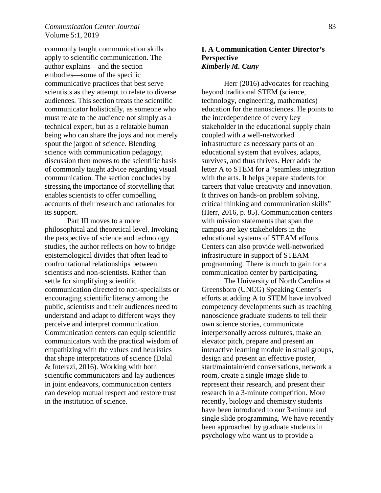# *Communication Center Journal* 83 Volume 5:1, 2019

commonly taught communication skills apply to scientific communication. The author explains—and the section embodies—some of the specific communicative practices that best serve scientists as they attempt to relate to diverse audiences. This section treats the scientific communicator holistically, as someone who must relate to the audience not simply as a technical expert, but as a relatable human being who can share the joys and not merely spout the jargon of science. Blending science with communication pedagogy, discussion then moves to the scientific basis of commonly taught advice regarding visual communication. The section concludes by stressing the importance of storytelling that enables scientists to offer compelling accounts of their research and rationales for its support.

Part III moves to a more philosophical and theoretical level. Invoking the perspective of science and technology studies, the author reflects on how to bridge epistemological divides that often lead to confrontational relationships between scientists and non-scientists. Rather than settle for simplifying scientific communication directed to non-specialists or encouraging scientific literacy among the public, scientists and their audiences need to understand and adapt to different ways they perceive and interpret communication. Communication centers can equip scientific communicators with the practical wisdom of empathizing with the values and heuristics that shape interpretations of science (Dalal & Interazi, 2016). Working with both scientific communicators and lay audiences in joint endeavors, communication centers can develop mutual respect and restore trust in the institution of science.

# **I. A Communication Center Director's Perspective** *Kimberly M. Cuny*

Herr (2016) advocates for reaching beyond traditional STEM (science, technology, engineering, mathematics) education for the nanosciences. He points to the interdependence of every key stakeholder in the educational supply chain coupled with a well-networked infrastructure as necessary parts of an educational system that evolves, adapts, survives, and thus thrives. Herr adds the letter A to STEM for a "seamless integration with the arts. It helps prepare students for careers that value creativity and innovation. It thrives on hands-on problem solving, critical thinking and communication skills" (Herr, 2016, p. 85). Communication centers with mission statements that span the campus are key stakeholders in the educational systems of STEAM efforts. Centers can also provide well-networked infrastructure in support of STEAM programming. There is much to gain for a communication center by participating.

 The University of North Carolina at Greensboro (UNCG) Speaking Center's efforts at adding A to STEM have involved competency developments such as teaching nanoscience graduate students to tell their own science stories, communicate interpersonally across cultures, make an elevator pitch, prepare and present an interactive learning module in small groups, design and present an effective poster, start/maintain/end conversations, network a room, create a single image slide to represent their research, and present their research in a 3-minute competition. More recently, biology and chemistry students have been introduced to our 3-minute and single slide programming. We have recently been approached by graduate students in psychology who want us to provide a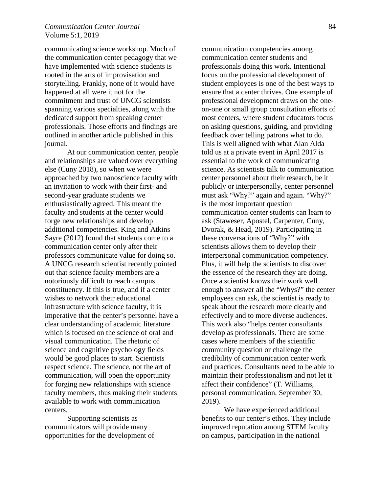## *Communication Center Journal* 84 Volume 5:1, 2019

communicating science workshop. Much of the communication center pedagogy that we have implemented with science students is rooted in the arts of improvisation and storytelling. Frankly, none of it would have happened at all were it not for the commitment and trust of UNCG scientists spanning various specialties, along with the dedicated support from speaking center professionals. Those efforts and findings are outlined in another article published in this journal.

 At our communication center, people and relationships are valued over everything else (Cuny 2018), so when we were approached by two nanoscience faculty with an invitation to work with their first- and second-year graduate students we enthusiastically agreed. This meant the faculty and students at the center would forge new relationships and develop additional competencies. King and Atkins Sayre (2012) found that students come to a communication center only after their professors communicate value for doing so. A UNCG research scientist recently pointed out that science faculty members are a notoriously difficult to reach campus constituency. If this is true, and if a center wishes to network their educational infrastructure with science faculty, it is imperative that the center's personnel have a clear understanding of academic literature which is focused on the science of oral and visual communication. The rhetoric of science and cognitive psychology fields would be good places to start. Scientists respect science. The science, not the art of communication, will open the opportunity for forging new relationships with science faculty members, thus making their students available to work with communication centers.

 Supporting scientists as communicators will provide many opportunities for the development of communication competencies among communication center students and professionals doing this work. Intentional focus on the professional development of student employees is one of the best ways to ensure that a center thrives. One example of professional development draws on the oneon-one or small group consultation efforts of most centers, where student educators focus on asking questions, guiding, and providing feedback over telling patrons what to do. This is well aligned with what Alan Alda told us at a private event in April 2017 is essential to the work of communicating science. As scientists talk to communication center personnel about their research, be it publicly or interpersonally, center personnel must ask "Why?" again and again. "Why?" is the most important question communication center students can learn to ask (Staweser, Apostel, Carpenter, Cuny, Dvorak, & Head, 2019). Participating in these conversations of "Why?" with scientists allows them to develop their interpersonal communication competency. Plus, it will help the scientists to discover the essence of the research they are doing. Once a scientist knows their work well enough to answer all the "Whys?" the center employees can ask, the scientist is ready to speak about the research more clearly and effectively and to more diverse audiences. This work also "helps center consultants develop as professionals. There are some cases where members of the scientific community question or challenge the credibility of communication center work and practices. Consultants need to be able to maintain their professionalism and not let it affect their confidence" (T. Williams, personal communication, September 30, 2019).

We have experienced additional benefits to our center's ethos. They include improved reputation among STEM faculty on campus, participation in the national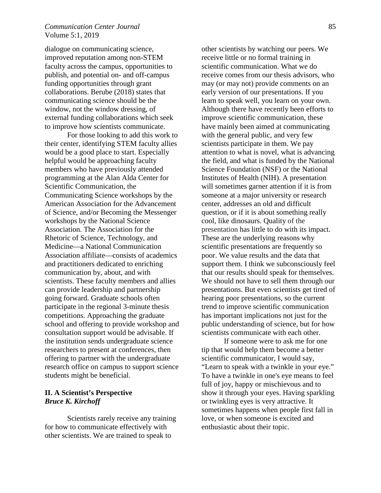## *Communication Center Journal* 85 Volume 5:1, 2019

dialogue on communicating science, improved reputation among non-STEM faculty across the campus, opportunities to publish, and potential on- and off-campus funding opportunities through grant collaborations. Berube (2018) states that communicating science should be the window, not the window dressing, of external funding collaborations which seek to improve how scientists communicate.

 For those looking to add this work to their center, identifying STEM faculty allies would be a good place to start. Especially helpful would be approaching faculty members who have previously attended programming at the Alan Alda Center for Scientific Communication, the Communicating Science workshops by the American Association for the Advancement of Science, and/or Becoming the Messenger workshops by the National Science Association. The Association for the Rhetoric of Science, Technology, and Medicine—a National Communication Association affiliate—consists of academics and practitioners dedicated to enriching communication by, about, and with scientists. These faculty members and allies can provide leadership and partnership going forward. Graduate schools often participate in the regional 3-minute thesis competitions. Approaching the graduate school and offering to provide workshop and consultation support would be advisable. If the institution sends undergraduate science researchers to present at conferences, then offering to partner with the undergraduate research office on campus to support science students might be beneficial.

## **II. A Scientist's Perspective** *Bruce K. Kirchoff*

Scientists rarely receive any training for how to communicate effectively with other scientists. We are trained to speak to

other scientists by watching our peers. We receive little or no formal training in scientific communication. What we do receive comes from our thesis advisors, who may (or may not) provide comments on an early version of our presentations. If you learn to speak well, you learn on your own. Although there have recently been efforts to improve scientific communication, these have mainly been aimed at communicating with the general public, and very few scientists participate in them. We pay attention to what is novel, what is advancing the field, and what is funded by the National Science Foundation (NSF) or the National Institutes of Health (NIH). A presentation will sometimes garner attention if it is from someone at a major university or research center, addresses an old and difficult question, or if it is about something really cool, like dinosaurs. Quality of the presentation has little to do with its impact. These are the underlying reasons why scientific presentations are frequently so poor. We value results and the data that support them. I think we subconsciously feel that our results should speak for themselves. We should not have to sell them through our presentations. But even scientists get tired of hearing poor presentations, so the current trend to improve scientific communication has important implications not just for the public understanding of science, but for how scientists communicate with each other.

 If someone were to ask me for one tip that would help them become a better scientific communicator, I would say, "Learn to speak with a twinkle in your eye." To have a twinkle in one's eye means to feel full of joy, happy or mischievous and to show it through your eyes. Having sparkling or twinkling eyes is very attractive. It sometimes happens when people first fall in love, or when someone is excited and enthusiastic about their topic.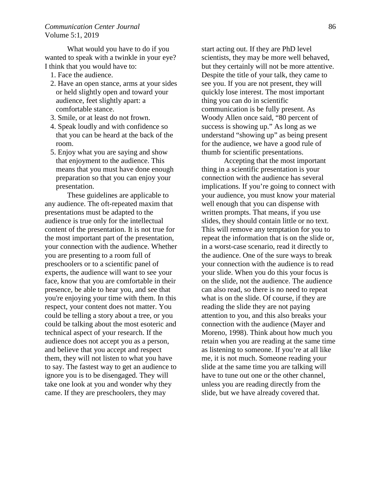What would you have to do if you wanted to speak with a twinkle in your eye? I think that you would have to:

- 1. Face the audience.
- 2. Have an open stance, arms at your sides or held slightly open and toward your audience, feet slightly apart: a comfortable stance.
- 3. Smile, or at least do not frown.
- 4. Speak loudly and with confidence so that you can be heard at the back of the room.
- 5. Enjoy what you are saying and show that enjoyment to the audience. This means that you must have done enough preparation so that you can enjoy your presentation.

These guidelines are applicable to any audience. The oft-repeated maxim that presentations must be adapted to the audience is true only for the intellectual content of the presentation. It is not true for the most important part of the presentation, your connection with the audience. Whether you are presenting to a room full of preschoolers or to a scientific panel of experts, the audience will want to see your face, know that you are comfortable in their presence, be able to hear you, and see that you're enjoying your time with them. In this respect, your content does not matter. You could be telling a story about a tree, or you could be talking about the most esoteric and technical aspect of your research. If the audience does not accept you as a person, and believe that you accept and respect them, they will not listen to what you have to say. The fastest way to get an audience to ignore you is to be disengaged. They will take one look at you and wonder why they came. If they are preschoolers, they may

start acting out. If they are PhD level scientists, they may be more well behaved, but they certainly will not be more attentive. Despite the title of your talk, they came to see you. If you are not present, they will quickly lose interest. The most important thing you can do in scientific communication is be fully present. As Woody Allen once said, "80 percent of success is showing up." As long as we understand "showing up" as being present for the audience, we have a good rule of thumb for scientific presentations.

Accepting that the most important thing in a scientific presentation is your connection with the audience has several implications. If you're going to connect with your audience, you must know your material well enough that you can dispense with written prompts. That means, if you use slides, they should contain little or no text. This will remove any temptation for you to repeat the information that is on the slide or, in a worst-case scenario, read it directly to the audience. One of the sure ways to break your connection with the audience is to read your slide. When you do this your focus is on the slide, not the audience. The audience can also read, so there is no need to repeat what is on the slide. Of course, if they are reading the slide they are not paying attention to you, and this also breaks your connection with the audience (Mayer and Moreno, 1998). Think about how much you retain when you are reading at the same time as listening to someone. If you're at all like me, it is not much. Someone reading your slide at the same time you are talking will have to tune out one or the other channel, unless you are reading directly from the slide, but we have already covered that.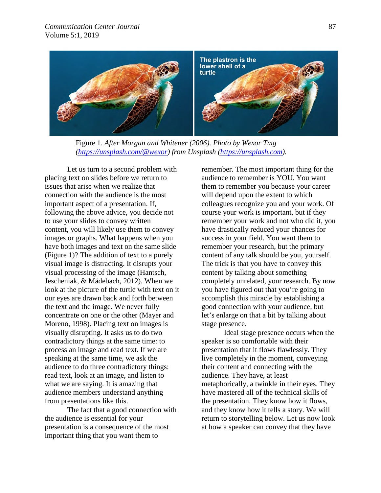

Figure 1. *After Morgan and Whitener (2006). Photo by Wexor Tmg [\(https://unsplash.com/@wexor\)](https://unsplash.com/@wexor) from Unsplash [\(https://unsplash.com\)](https://unsplash.com/).* 

Let us turn to a second problem with placing text on slides before we return to issues that arise when we realize that connection with the audience is the most important aspect of a presentation. If, following the above advice, you decide not to use your slides to convey written content, you will likely use them to convey images or graphs. What happens when you have both images and text on the same slide (Figure 1)? The addition of text to a purely visual image is distracting. It disrupts your visual processing of the image (Hantsch, Jescheniak, & Mädebach, 2012). When we look at the picture of the turtle with text on it our eyes are drawn back and forth between the text and the image. We never fully concentrate on one or the other (Mayer and Moreno, 1998). Placing text on images is visually disrupting. It asks us to do two contradictory things at the same time: to process an image and read text. If we are speaking at the same time, we ask the audience to do three contradictory things: read text, look at an image, and listen to what we are saying. It is amazing that audience members understand anything from presentations like this.

 The fact that a good connection with the audience is essential for your presentation is a consequence of the most important thing that you want them to

remember. The most important thing for the audience to remember is YOU. You want them to remember you because your career will depend upon the extent to which colleagues recognize you and your work. Of course your work is important, but if they remember your work and not who did it, you have drastically reduced your chances for success in your field. You want them to remember your research, but the primary content of any talk should be you, yourself. The trick is that you have to convey this content by talking about something completely unrelated, your research. By now you have figured out that you're going to accomplish this miracle by establishing a good connection with your audience, but let's enlarge on that a bit by talking about stage presence.

Ideal stage presence occurs when the speaker is so comfortable with their presentation that it flows flawlessly. They live completely in the moment, conveying their content and connecting with the audience. They have, at least metaphorically, a twinkle in their eyes. They have mastered all of the technical skills of the presentation. They know how it flows, and they know how it tells a story. We will return to storytelling below. Let us now look at how a speaker can convey that they have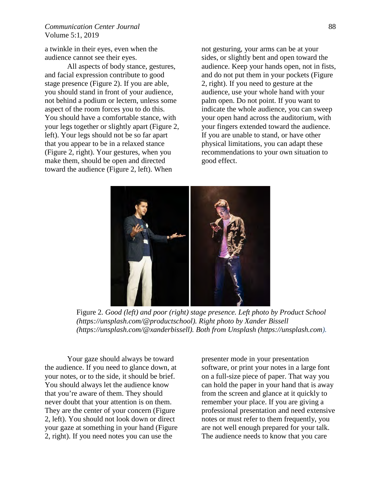## *Communication Center Journal* 88 Volume 5:1, 2019

a twinkle in their eyes, even when the audience cannot see their eyes.

 All aspects of body stance, gestures, and facial expression contribute to good stage presence (Figure 2). If you are able, you should stand in front of your audience, not behind a podium or lectern, unless some aspect of the room forces you to do this. You should have a comfortable stance, with your legs together or slightly apart (Figure 2, left). Your legs should not be so far apart that you appear to be in a relaxed stance (Figure 2, right). Your gestures, when you make them, should be open and directed toward the audience (Figure 2, left). When

not gesturing, your arms can be at your sides, or slightly bent and open toward the audience. Keep your hands open, not in fists, and do not put them in your pockets (Figure 2, right). If you need to gesture at the audience, use your whole hand with your palm open. Do not point. If you want to indicate the whole audience, you can sweep your open hand across the auditorium, with your fingers extended toward the audience. If you are unable to stand, or have other physical limitations, you can adapt these recommendations to your own situation to good effect.



Figure 2*. Good (left) and poor (right) stage presence. Left photo by Product School (https://unsplash.com/@productschool). Right photo by Xander Bissell (https://unsplash.com/@xanderbissell). Both from Unsplash (https://unsplash.com).*

Your gaze should always be toward the audience. If you need to glance down, at your notes, or to the side, it should be brief. You should always let the audience know that you're aware of them. They should never doubt that your attention is on them. They are the center of your concern (Figure 2, left). You should not look down or direct your gaze at something in your hand (Figure 2, right). If you need notes you can use the

presenter mode in your presentation software, or print your notes in a large font on a full-size piece of paper. That way you can hold the paper in your hand that is away from the screen and glance at it quickly to remember your place. If you are giving a professional presentation and need extensive notes or must refer to them frequently, you are not well enough prepared for your talk. The audience needs to know that you care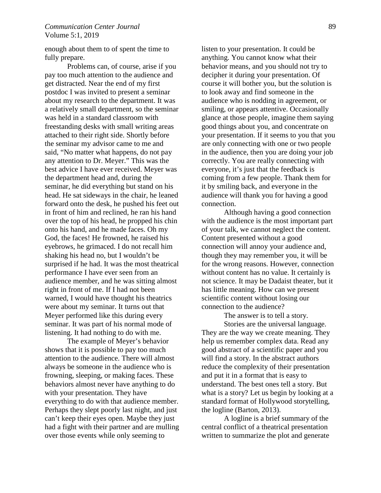## *Communication Center Journal* 89 Volume 5:1, 2019

enough about them to of spent the time to fully prepare.

 Problems can, of course, arise if you pay too much attention to the audience and get distracted. Near the end of my first postdoc I was invited to present a seminar about my research to the department. It was a relatively small department, so the seminar was held in a standard classroom with freestanding desks with small writing areas attached to their right side. Shortly before the seminar my advisor came to me and said, "No matter what happens, do not pay any attention to Dr. Meyer." This was the best advice I have ever received. Meyer was the department head and, during the seminar, he did everything but stand on his head. He sat sideways in the chair, he leaned forward onto the desk, he pushed his feet out in front of him and reclined, he ran his hand over the top of his head, he propped his chin onto his hand, and he made faces. Oh my God, the faces! He frowned, he raised his eyebrows, he grimaced. I do not recall him shaking his head no, but I wouldn't be surprised if he had. It was the most theatrical performance I have ever seen from an audience member, and he was sitting almost right in front of me. If I had not been warned, I would have thought his theatrics were about my seminar. It turns out that Meyer performed like this during every seminar. It was part of his normal mode of listening. It had nothing to do with me.

 The example of Meyer's behavior shows that it is possible to pay too much attention to the audience. There will almost always be someone in the audience who is frowning, sleeping, or making faces. These behaviors almost never have anything to do with your presentation. They have everything to do with that audience member. Perhaps they slept poorly last night, and just can't keep their eyes open. Maybe they just had a fight with their partner and are mulling over those events while only seeming to

listen to your presentation. It could be anything. You cannot know what their behavior means, and you should not try to decipher it during your presentation. Of course it will bother you, but the solution is to look away and find someone in the audience who is nodding in agreement, or smiling, or appears attentive. Occasionally glance at those people, imagine them saying good things about you, and concentrate on your presentation. If it seems to you that you are only connecting with one or two people in the audience, then you are doing your job correctly. You are really connecting with everyone, it's just that the feedback is coming from a few people. Thank them for it by smiling back, and everyone in the audience will thank you for having a good connection.

 Although having a good connection with the audience is the most important part of your talk, we cannot neglect the content. Content presented without a good connection will annoy your audience and, though they may remember you, it will be for the wrong reasons. However, connection without content has no value. It certainly is not science. It may be Dadaist theater, but it has little meaning. How can we present scientific content without losing our connection to the audience?

The answer is to tell a story. Stories are the universal language. They are the way we create meaning. They help us remember complex data. Read any good abstract of a scientific paper and you will find a story. In the abstract authors reduce the complexity of their presentation and put it in a format that is easy to understand. The best ones tell a story. But what is a story? Let us begin by looking at a standard format of Hollywood storytelling, the logline (Barton, 2013).

A logline is a brief summary of the central conflict of a theatrical presentation written to summarize the plot and generate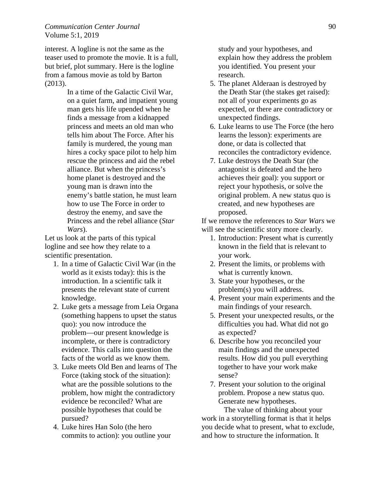## *Communication Center Journal* 90 Volume 5:1, 2019

interest. A logline is not the same as the teaser used to promote the movie. It is a full, but brief, plot summary. Here is the logline from a famous movie as told by Barton (2013).

> In a time of the Galactic Civil War, on a quiet farm, and impatient young man gets his life upended when he finds a message from a kidnapped princess and meets an old man who tells him about The Force. After his family is murdered, the young man hires a cocky space pilot to help him rescue the princess and aid the rebel alliance. But when the princess's home planet is destroyed and the young man is drawn into the enemy's battle station, he must learn how to use The Force in order to destroy the enemy, and save the Princess and the rebel alliance (*Star Wars*).

Let us look at the parts of this typical logline and see how they relate to a scientific presentation.

- 1. In a time of Galactic Civil War (in the world as it exists today): this is the introduction. In a scientific talk it presents the relevant state of current knowledge.
- 2. Luke gets a message from Leia Organa (something happens to upset the status quo): you now introduce the problem—our present knowledge is incomplete, or there is contradictory evidence. This calls into question the facts of the world as we know them.
- 3. Luke meets Old Ben and learns of The Force (taking stock of the situation): what are the possible solutions to the problem, how might the contradictory evidence be reconciled? What are possible hypotheses that could be pursued?
- 4. Luke hires Han Solo (the hero commits to action): you outline your

study and your hypotheses, and explain how they address the problem you identified. You present your research.

- 5. The planet Alderaan is destroyed by the Death Star (the stakes get raised): not all of your experiments go as expected, or there are contradictory or unexpected findings.
- 6. Luke learns to use The Force (the hero learns the lesson): experiments are done, or data is collected that reconciles the contradictory evidence.
- 7. Luke destroys the Death Star (the antagonist is defeated and the hero achieves their goal): you support or reject your hypothesis, or solve the original problem. A new status quo is created, and new hypotheses are proposed.

If we remove the references to *Star Wars* we will see the scientific story more clearly.

- 1. Introduction: Present what is currently known in the field that is relevant to your work.
- 2. Present the limits, or problems with what is currently known.
- 3. State your hypotheses, or the problem(s) you will address.
- 4. Present your main experiments and the main findings of your research.
- 5. Present your unexpected results, or the difficulties you had. What did not go as expected?
- 6. Describe how you reconciled your main findings and the unexpected results. How did you pull everything together to have your work make sense?
- 7. Present your solution to the original problem. Propose a new status quo. Generate new hypotheses.

 The value of thinking about your work in a storytelling format is that it helps you decide what to present, what to exclude, and how to structure the information. It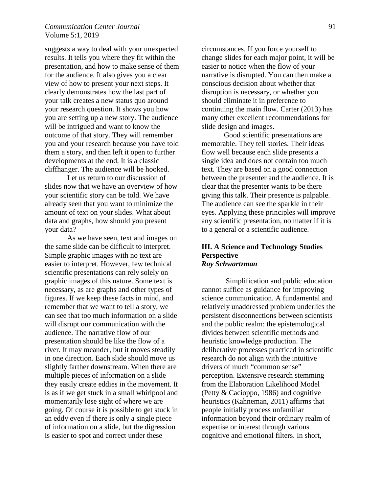## *Communication Center Journal* 91 Volume 5:1, 2019

suggests a way to deal with your unexpected results. It tells you where they fit within the presentation, and how to make sense of them for the audience. It also gives you a clear view of how to present your next steps. It clearly demonstrates how the last part of your talk creates a new status quo around your research question. It shows you how you are setting up a new story. The audience will be intrigued and want to know the outcome of that story. They will remember you and your research because you have told them a story, and then left it open to further developments at the end. It is a classic cliffhanger. The audience will be hooked.

 Let us return to our discussion of slides now that we have an overview of how your scientific story can be told. We have already seen that you want to minimize the amount of text on your slides. What about data and graphs, how should you present your data?

As we have seen, text and images on the same slide can be difficult to interpret. Simple graphic images with no text are easier to interpret. However, few technical scientific presentations can rely solely on graphic images of this nature. Some text is necessary, as are graphs and other types of figures. If we keep these facts in mind, and remember that we want to tell a story, we can see that too much information on a slide will disrupt our communication with the audience. The narrative flow of our presentation should be like the flow of a river. It may meander, but it moves steadily in one direction. Each slide should move us slightly farther downstream. When there are multiple pieces of information on a slide they easily create eddies in the movement. It is as if we get stuck in a small whirlpool and momentarily lose sight of where we are going. Of course it is possible to get stuck in an eddy even if there is only a single piece of information on a slide, but the digression is easier to spot and correct under these

circumstances. If you force yourself to change slides for each major point, it will be easier to notice when the flow of your narrative is disrupted. You can then make a conscious decision about whether that disruption is necessary, or whether you should eliminate it in preference to continuing the main flow. Carter (2013) has many other excellent recommendations for slide design and images.

Good scientific presentations are memorable. They tell stories. Their ideas flow well because each slide presents a single idea and does not contain too much text. They are based on a good connection between the presenter and the audience. It is clear that the presenter wants to be there giving this talk. Their presence is palpable. The audience can see the sparkle in their eyes. Applying these principles will improve any scientific presentation, no matter if it is to a general or a scientific audience.

## **III. A Science and Technology Studies Perspective** *Roy Schwartzman*

 Simplification and public education cannot suffice as guidance for improving science communication. A fundamental and relatively unaddressed problem underlies the persistent disconnections between scientists and the public realm: the epistemological divides between scientific methods and heuristic knowledge production. The deliberative processes practiced in scientific research do not align with the intuitive drivers of much "common sense" perception. Extensive research stemming from the Elaboration Likelihood Model (Petty & Cacioppo, 1986) and cognitive heuristics (Kahneman, 2011) affirms that people initially process unfamiliar information beyond their ordinary realm of expertise or interest through various cognitive and emotional filters. In short,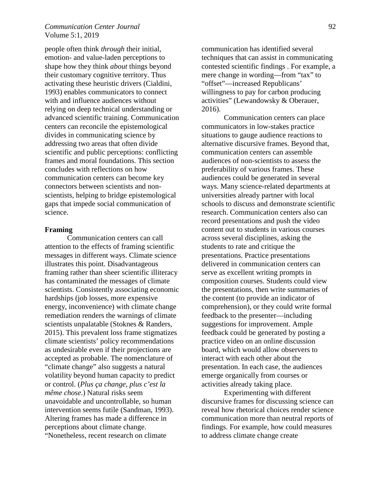## *Communication Center Journal* 92 Volume 5:1, 2019

people often think *through* their initial, emotion- and value-laden perceptions to shape how they think *about* things beyond their customary cognitive territory. Thus activating these heuristic drivers (Cialdini, 1993) enables communicators to connect with and influence audiences without relying on deep technical understanding or advanced scientific training. Communication centers can reconcile the epistemological divides in communicating science by addressing two areas that often divide scientific and public perceptions: conflicting frames and moral foundations. This section concludes with reflections on how communication centers can become key connectors between scientists and nonscientists, helping to bridge epistemological gaps that impede social communication of science.

#### **Framing**

Communication centers can call attention to the effects of framing scientific messages in different ways. Climate science illustrates this point. Disadvantageous framing rather than sheer scientific illiteracy has contaminated the messages of climate scientists. Consistently associating economic hardships (job losses, more expensive energy, inconvenience) with climate change remediation renders the warnings of climate scientists unpalatable (Stoknes & Randers, 2015). This prevalent loss frame stigmatizes climate scientists' policy recommendations as undesirable even if their projections are accepted as probable. The nomenclature of "climate change" also suggests a natural volatility beyond human capacity to predict or control. (*Plus ça change, plus c'est la même chose*.) Natural risks seem unavoidable and uncontrollable, so human intervention seems futile (Sandman, 1993). Altering frames has made a difference in perceptions about climate change. "Nonetheless, recent research on climate

communication has identified several techniques that can assist in communicating contested scientific findings . For example, a mere change in wording—from "tax" to "offset"—increased Republicans' willingness to pay for carbon producing activities" (Lewandowsky & Oberauer, 2016).

Communication centers can place communicators in low-stakes practice situations to gauge audience reactions to alternative discursive frames. Beyond that, communication centers can assemble audiences of non-scientists to assess the preferability of various frames. These audiences could be generated in several ways. Many science-related departments at universities already partner with local schools to discuss and demonstrate scientific research. Communication centers also can record presentations and push the video content out to students in various courses across several disciplines, asking the students to rate and critique the presentations. Practice presentations delivered in communication centers can serve as excellent writing prompts in composition courses. Students could view the presentations, then write summaries of the content (to provide an indicator of comprehension), or they could write formal feedback to the presenter—including suggestions for improvement. Ample feedback could be generated by posting a practice video on an online discussion board, which would allow observers to interact with each other about the presentation. In each case, the audiences emerge organically from courses or activities already taking place.

Experimenting with different discursive frames for discussing science can reveal how rhetorical choices render science communication more than neutral reports of findings. For example, how could measures to address climate change create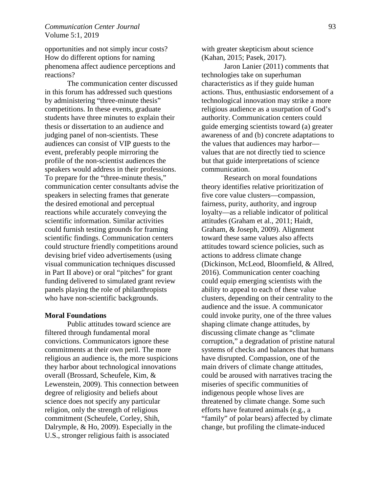## *Communication Center Journal* 93 Volume 5:1, 2019

opportunities and not simply incur costs? How do different options for naming phenomena affect audience perceptions and reactions?

 The communication center discussed in this forum has addressed such questions by administering "three-minute thesis" competitions. In these events, graduate students have three minutes to explain their thesis or dissertation to an audience and judging panel of non-scientists. These audiences can consist of VIP guests to the event, preferably people mirroring the profile of the non-scientist audiences the speakers would address in their professions. To prepare for the "three-minute thesis," communication center consultants advise the speakers in selecting frames that generate the desired emotional and perceptual reactions while accurately conveying the scientific information. Similar activities could furnish testing grounds for framing scientific findings. Communication centers could structure friendly competitions around devising brief video advertisements (using visual communication techniques discussed in Part II above) or oral "pitches" for grant funding delivered to simulated grant review panels playing the role of philanthropists who have non-scientific backgrounds.

#### **Moral Foundations**

Public attitudes toward science are filtered through fundamental moral convictions. Communicators ignore these commitments at their own peril. The more religious an audience is, the more suspicions they harbor about technological innovations overall (Brossard, Scheufele, Kim, & Lewenstein, 2009). This connection between degree of religiosity and beliefs about science does not specify any particular religion, only the strength of religious commitment (Scheufele, Corley, Shih, Dalrymple, & Ho, 2009). Especially in the U.S., stronger religious faith is associated

with greater skepticism about science (Kahan, 2015; Pasek, 2017).

 Jaron Lanier (2011) comments that technologies take on superhuman characteristics as if they guide human actions. Thus, enthusiastic endorsement of a technological innovation may strike a more religious audience as a usurpation of God's authority. Communication centers could guide emerging scientists toward (a) greater awareness of and (b) concrete adaptations to the values that audiences may harbor values that are not directly tied to science but that guide interpretations of science communication.

 Research on moral foundations theory identifies relative prioritization of five core value clusters—compassion, fairness, purity, authority, and ingroup loyalty—as a reliable indicator of political attitudes (Graham et al., 2011; Haidt, Graham, & Joseph, 2009). Alignment toward these same values also affects attitudes toward science policies, such as actions to address climate change (Dickinson, McLeod, Bloomfield, & Allred, 2016). Communication center coaching could equip emerging scientists with the ability to appeal to each of these value clusters, depending on their centrality to the audience and the issue. A communicator could invoke purity, one of the three values shaping climate change attitudes, by discussing climate change as "climate corruption," a degradation of pristine natural systems of checks and balances that humans have disrupted. Compassion, one of the main drivers of climate change attitudes, could be aroused with narratives tracing the miseries of specific communities of indigenous people whose lives are threatened by climate change. Some such efforts have featured animals (e.g., a "family" of polar bears) affected by climate change, but profiling the climate-induced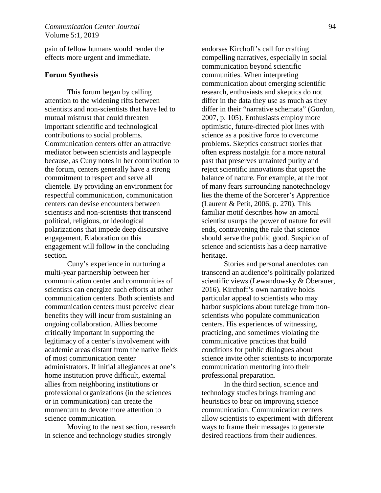pain of fellow humans would render the effects more urgent and immediate.

#### **Forum Synthesis**

 This forum began by calling attention to the widening rifts between scientists and non-scientists that have led to mutual mistrust that could threaten important scientific and technological contributions to social problems. Communication centers offer an attractive mediator between scientists and laypeople because, as Cuny notes in her contribution to the forum, centers generally have a strong commitment to respect and serve all clientele. By providing an environment for respectful communication, communication centers can devise encounters between scientists and non-scientists that transcend political, religious, or ideological polarizations that impede deep discursive engagement. Elaboration on this engagement will follow in the concluding section.

 Cuny's experience in nurturing a multi-year partnership between her communication center and communities of scientists can energize such efforts at other communication centers. Both scientists and communication centers must perceive clear benefits they will incur from sustaining an ongoing collaboration. Allies become critically important in supporting the legitimacy of a center's involvement with academic areas distant from the native fields of most communication center administrators. If initial allegiances at one's home institution prove difficult, external allies from neighboring institutions or professional organizations (in the sciences or in communication) can create the momentum to devote more attention to science communication.

 Moving to the next section, research in science and technology studies strongly

endorses Kirchoff's call for crafting compelling narratives, especially in social communication beyond scientific communities. When interpreting communication about emerging scientific research, enthusiasts and skeptics do not differ in the data they use as much as they differ in their "narrative schemata" (Gordon, 2007, p. 105). Enthusiasts employ more optimistic, future-directed plot lines with science as a positive force to overcome problems. Skeptics construct stories that often express nostalgia for a more natural past that preserves untainted purity and reject scientific innovations that upset the balance of nature. For example, at the root of many fears surrounding nanotechnology lies the theme of the Sorcerer's Apprentice (Laurent & Petit, 2006, p. 270). This familiar motif describes how an amoral scientist usurps the power of nature for evil ends, contravening the rule that science should serve the public good. Suspicion of science and scientists has a deep narrative heritage.

Stories and personal anecdotes can transcend an audience's politically polarized scientific views (Lewandowsky & Oberauer, 2016). Kirchoff's own narrative holds particular appeal to scientists who may harbor suspicions about tutelage from nonscientists who populate communication centers. His experiences of witnessing, practicing, and sometimes violating the communicative practices that build conditions for public dialogues about science invite other scientists to incorporate communication mentoring into their professional preparation.

 In the third section, science and technology studies brings framing and heuristics to bear on improving science communication. Communication centers allow scientists to experiment with different ways to frame their messages to generate desired reactions from their audiences.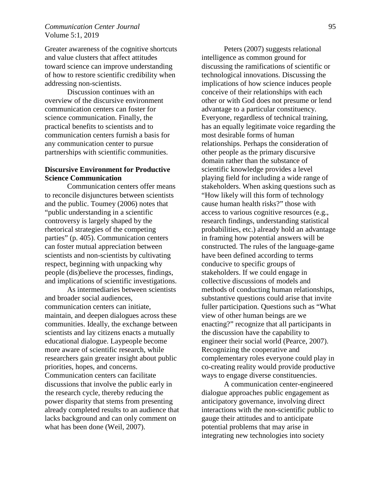## *Communication Center Journal* 95 Volume 5:1, 2019

Greater awareness of the cognitive shortcuts and value clusters that affect attitudes toward science can improve understanding of how to restore scientific credibility when addressing non-scientists.

 Discussion continues with an overview of the discursive environment communication centers can foster for science communication. Finally, the practical benefits to scientists and to communication centers furnish a basis for any communication center to pursue partnerships with scientific communities.

# **Discursive Environment for Productive Science Communication**

 Communication centers offer means to reconcile disjunctures between scientists and the public. Toumey (2006) notes that "public understanding in a scientific controversy is largely shaped by the rhetorical strategies of the competing parties" (p. 405). Communication centers can foster mutual appreciation between scientists and non-scientists by cultivating respect, beginning with unpacking why people (dis)believe the processes, findings, and implications of scientific investigations.

As intermediaries between scientists and broader social audiences, communication centers can initiate, maintain, and deepen dialogues across these communities. Ideally, the exchange between scientists and lay citizens enacts a mutually educational dialogue. Laypeople become more aware of scientific research, while researchers gain greater insight about public priorities, hopes, and concerns. Communication centers can facilitate discussions that involve the public early in the research cycle, thereby reducing the power disparity that stems from presenting already completed results to an audience that lacks background and can only comment on what has been done (Weil, 2007).

 Peters (2007) suggests relational intelligence as common ground for discussing the ramifications of scientific or technological innovations. Discussing the implications of how science induces people conceive of their relationships with each other or with God does not presume or lend advantage to a particular constituency. Everyone, regardless of technical training, has an equally legitimate voice regarding the most desirable forms of human relationships. Perhaps the consideration of other people as the primary discursive domain rather than the substance of scientific knowledge provides a level playing field for including a wide range of stakeholders. When asking questions such as "How likely will this form of technology cause human health risks?" those with access to various cognitive resources (e.g., research findings, understanding statistical probabilities, etc.) already hold an advantage in framing how potential answers will be constructed. The rules of the language-game have been defined according to terms conducive to specific groups of stakeholders. If we could engage in collective discussions of models and methods of conducting human relationships, substantive questions could arise that invite fuller participation. Questions such as "What view of other human beings are we enacting?" recognize that all participants in the discussion have the capability to engineer their social world (Pearce, 2007). Recognizing the cooperative and complementary roles everyone could play in co-creating reality would provide productive ways to engage diverse constituencies.

 A communication center-engineered dialogue approaches public engagement as anticipatory governance, involving direct interactions with the non-scientific public to gauge their attitudes and to anticipate potential problems that may arise in integrating new technologies into society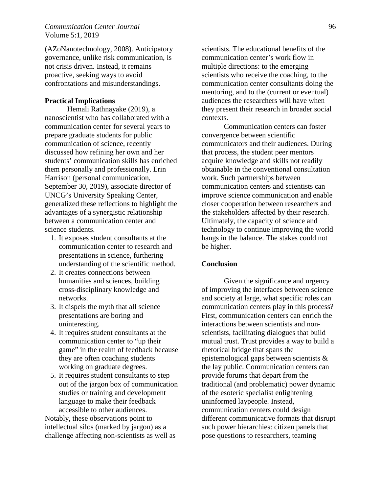(AZoNanotechnology, 2008). Anticipatory governance, unlike risk communication, is not crisis driven. Instead, it remains proactive, seeking ways to avoid confrontations and misunderstandings.

## **Practical Implications**

 Hemali Rathnayake (2019), a nanoscientist who has collaborated with a communication center for several years to prepare graduate students for public communication of science, recently discussed how refining her own and her students' communication skills has enriched them personally and professionally. Erin Harrison (personal communication, September 30, 2019), associate director of UNCG's University Speaking Center, generalized these reflections to highlight the advantages of a synergistic relationship between a communication center and science students.

- 1. It exposes student consultants at the communication center to research and presentations in science, furthering understanding of the scientific method.
- 2. It creates connections between humanities and sciences, building cross-disciplinary knowledge and networks.
- 3. It dispels the myth that all science presentations are boring and uninteresting.
- 4. It requires student consultants at the communication center to "up their game" in the realm of feedback because they are often coaching students working on graduate degrees.
- 5. It requires student consultants to step out of the jargon box of communication studies or training and development language to make their feedback accessible to other audiences.

Notably, these observations point to intellectual silos (marked by jargon) as a challenge affecting non-scientists as well as scientists. The educational benefits of the communication center's work flow in multiple directions: to the emerging scientists who receive the coaching, to the communication center consultants doing the mentoring, and to the (current or eventual) audiences the researchers will have when they present their research in broader social contexts.

 Communication centers can foster convergence between scientific communicators and their audiences. During that process, the student peer mentors acquire knowledge and skills not readily obtainable in the conventional consultation work. Such partnerships between communication centers and scientists can improve science communication and enable closer cooperation between researchers and the stakeholders affected by their research. Ultimately, the capacity of science and technology to continue improving the world hangs in the balance. The stakes could not be higher.

#### **Conclusion**

 Given the significance and urgency of improving the interfaces between science and society at large, what specific roles can communication centers play in this process? First, communication centers can enrich the interactions between scientists and nonscientists, facilitating dialogues that build mutual trust. Trust provides a way to build a rhetorical bridge that spans the epistemological gaps between scientists & the lay public. Communication centers can provide forums that depart from the traditional (and problematic) power dynamic of the esoteric specialist enlightening uninformed laypeople. Instead, communication centers could design different communicative formats that disrupt such power hierarchies: citizen panels that pose questions to researchers, teaming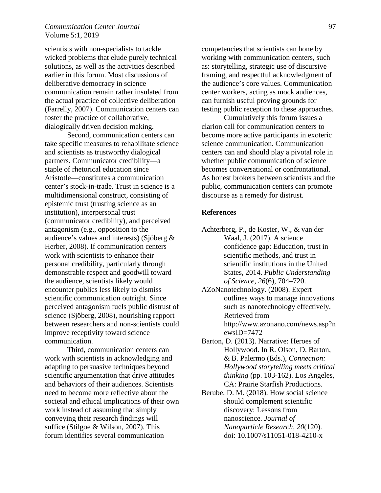## *Communication Center Journal* 97 Volume 5:1, 2019

scientists with non-specialists to tackle wicked problems that elude purely technical solutions, as well as the activities described earlier in this forum. Most discussions of deliberative democracy in science communication remain rather insulated from the actual practice of collective deliberation (Farrelly, 2007). Communication centers can foster the practice of collaborative, dialogically driven decision making.

Second, communication centers can take specific measures to rehabilitate science and scientists as trustworthy dialogical partners. Communicator credibility—a staple of rhetorical education since Aristotle—constitutes a communication center's stock-in-trade. Trust in science is a multidimensional construct, consisting of epistemic trust (trusting science as an institution), interpersonal trust (communicator credibility), and perceived antagonism (e.g., opposition to the audience's values and interests) (Sjöberg & Herber, 2008). If communication centers work with scientists to enhance their personal credibility, particularly through demonstrable respect and goodwill toward the audience, scientists likely would encounter publics less likely to dismiss scientific communication outright. Since perceived antagonism fuels public distrust of science (Sjöberg, 2008), nourishing rapport between researchers and non-scientists could improve receptivity toward science communication.

 Third, communication centers can work with scientists in acknowledging and adapting to persuasive techniques beyond scientific argumentation that drive attitudes and behaviors of their audiences. Scientists need to become more reflective about the societal and ethical implications of their own work instead of assuming that simply conveying their research findings will suffice (Stilgoe & Wilson, 2007). This forum identifies several communication

competencies that scientists can hone by working with communication centers, such as: storytelling, strategic use of discursive framing, and respectful acknowledgment of the audience's core values. Communication center workers, acting as mock audiences, can furnish useful proving grounds for testing public reception to these approaches.

Cumulatively this forum issues a clarion call for communication centers to become more active participants in exoteric science communication. Communication centers can and should play a pivotal role in whether public communication of science becomes conversational or confrontational. As honest brokers between scientists and the public, communication centers can promote discourse as a remedy for distrust.

#### **References**

- Achterberg, P., de Koster, W., & van der Waal, J. (2017). A science confidence gap: Education, trust in scientific methods, and trust in scientific institutions in the United States, 2014. *Public Understanding of Science, 26*(6), 704–720.
- AZoNanotechnology. (2008). Expert outlines ways to manage innovations such as nanotechnology effectively. Retrieved from http://www.azonano.com/news.asp?n ewsID=7472
- Barton, D. (2013). Narrative: Heroes of Hollywood. In R. Olson, D. Barton, & B. Palermo (Eds.), *Connection: Hollywood storytelling meets critical thinking* (pp. 103-162). Los Angeles, CA: Prairie Starfish Productions.
- Berube, D. M. (2018). How social science should complement scientific discovery: Lessons from nanoscience. *Journal of Nanoparticle Research, 20*(120). doi: 10.1007/s11051-018-4210-x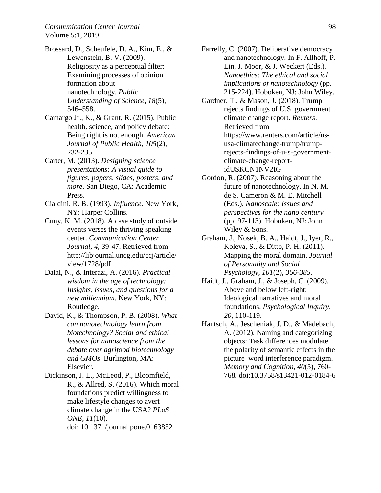- Brossard, D., Scheufele, D. A., Kim, E., & Lewenstein, B. V. (2009). Religiosity as a perceptual filter: Examining processes of opinion formation about nanotechnology. *Public Understanding of Science*, *18*(5), 546–558.
- Camargo Jr., K., & Grant, R. (2015). Public health, science, and policy debate: Being right is not enough. *American Journal of Public Health*, *105*(2), 232-235.
- Carter, M. (2013). *Designing science presentations: A visual guide to figures, papers, slides, posters, and more*. San Diego, CA: Academic Press.
- Cialdini, R. B. (1993). *Influence*. New York, NY: Harper Collins.
- Cuny, K. M. (2018). A case study of outside events verses the thriving speaking center. *Communication Center Journal, 4*, 39-47. Retrieved from http://libjournal.uncg.edu/ccj/article/ view/1728/pdf
- Dalal, N., & Interazi, A. (2016). *Practical wisdom in the age of technology: Insights, issues, and questions for a new millennium*. New York, NY: Routledge.
- David, K., & Thompson, P. B. (2008). *What can nanotechnology learn from biotechnology? Social and ethical lessons for nanoscience from the debate over agrifood biotechnology and GMOs*. Burlington, MA: Elsevier.
- Dickinson, J. L., McLeod, P., Bloomfield, R., & Allred, S. (2016). Which moral foundations predict willingness to make lifestyle changes to avert climate change in the USA? *PLoS ONE, 11*(10). doi: 10.1371/journal.pone.0163852
- Farrelly, C. (2007). Deliberative democracy and nanotechnology. In F. Allhoff, P. Lin, J. Moor, & J. Weckert (Eds.), *Nanoethics: The ethical and social implications of nanotechnology* (pp. 215-224). Hoboken, NJ: John Wiley.
- Gardner, T., & Mason, J. (2018). Trump rejects findings of U.S. government climate change report. *Reuters*. Retrieved from https://www.reuters.com/article/ususa-climatechange-trump/trumprejects-findings-of-u-s-governmentclimate-change-reportidUSKCN1NV2IG
- Gordon, R. (2007). Reasoning about the future of nanotechnology. In N. M. de S. Cameron & M. E. Mitchell (Eds.), *Nanoscale: Issues and perspectives for the nano century* (pp. 97-113). Hoboken, NJ: John Wiley & Sons.
- Graham, J., Nosek, B. A., Haidt, J., Iyer, R., Koleva, S., & Ditto, P. H. (2011). Mapping the moral domain. *Journal of Personality and Social Psychology, 101*(2)*, 366-385.*
- Haidt, J., Graham, J., & Joseph, C. (2009). Above and below left-right: Ideological narratives and moral foundations. *Psychological Inquiry, 20,* 110-119.
- Hantsch, A., Jescheniak, J. D., & Mädebach, A. (2012). Naming and categorizing objects: Task differences modulate the polarity of semantic effects in the picture–word interference paradigm. *Memory and Cognition, 40*(5), 760- 768. doi:10.3758/s13421-012-0184-6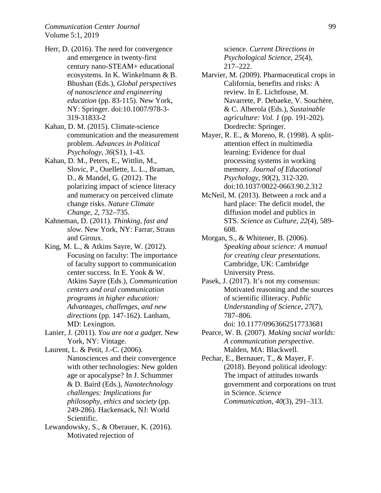- Herr, D. (2016). The need for convergence and emergence in twenty-first century nano-STEAM+ educational ecosystems. In K. Winkelmann & B. Bhushan (Eds.), *Global perspectives of nanoscience and engineering education* (pp. 83-115). New York, NY: Springer. doi:10.1007/978-3- 319-31833-2
- Kahan, D. M. (2015). Climate-science communication and the measurement problem. *Advances in Political Psychology, 36*(S1), 1-43.
- Kahan, D. M., Peters, E., Wittlin, M., Slovic, P., Ouellette, L. L., Braman, D., & Mandel, G. (2012). The polarizing impact of science literacy and numeracy on perceived climate change risks. *Nature Climate Change*, *2*, 732–735.
- Kahneman, D. (2011). *Thinking, fast and slow*. New York, NY: Farrar, Straus and Giroux.
- King, M. L., & Atkins Sayre, W. (2012). Focusing on faculty: The importance of faculty support to communication center success. In E. Yook & W. Atkins Sayre (Eds.), *Communication centers and oral communication programs in higher education: Advantages, challenges, and new directions* (pp. 147-162). Lanham, MD: Lexington.
- Lanier, J. (2011). *You are not a gadget*. New York, NY: Vintage.
- Laurent, L. & Petit, J.-C. (2006). Nanosciences and their convergence with other technologies: New golden age or apocalypse? In J. Schummer & D. Baird (Eds.), *Nanotechnology challenges: Implications for philosophy, ethics and society* (pp. 249-286). Hackensack, NJ: World Scientific.
- Lewandowsky, S., & Oberauer, K. (2016). Motivated rejection of

science. *Current Directions in Psychological Science*, *25*(4), 217–222.

- Marvier, M. (2009). Pharmaceutical crops in California, benefits and risks: A review. In E. Lichtfouse, M. Navarrete, P. Debaeke, V. Souchère, & C. Alberola (Eds.), *Sustainable agriculture: Vol. 1* (pp. 191-202). Dordrecht: Springer.
- Mayer, R. E., & Moreno, R. (1998). A splitattention effect in multimedia learning: Evidence for dual processing systems in working memory. *Journal of Educational Psychology, 90*(2), 312-320. doi:10.1037/0022-0663.90.2.312
- McNeil, M. (2013). Between a rock and a hard place: The deficit model, the diffusion model and publics in STS. *Science as Culture*, *22*(4), 589- 608.
- Morgan, S., & Whitener, B. (2006). *Speaking about science: A manual for creating clear presentations*. Cambridge, UK: Cambridge University Press.
- Pasek, J. (2017). It's not my consensus: Motivated reasoning and the sources of scientific illiteracy. *Public Understanding of Science*, *27*(7), 787–806.
	- doi: 10.1177/0963662517733681
- Pearce, W. B. (2007). *Making social worlds: A communication perspective*. Malden, MA: Blackwell.
- Pechar, E., Bernauer, T., & Mayer, F. (2018). Beyond political ideology: The impact of attitudes towards government and corporations on trust in Science. *Science Communication*, *40*(3), 291–313.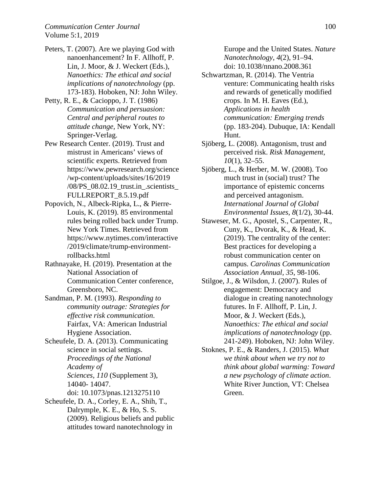- Peters, T. (2007). Are we playing God with nanoenhancement? In F. Allhoff, P. Lin, J. Moor, & J. Weckert (Eds.), *Nanoethics: The ethical and social implications of nanotechnology* (pp. 173-183). Hoboken, NJ: John Wiley.
- Petty, R. E., & Cacioppo, J. T. (1986) *Communication and persuasion: Central and peripheral routes to attitude change,* New York, NY: Springer-Verlag.
- Pew Research Center. (2019). Trust and mistrust in Americans' views of scientific experts. Retrieved from https://www.pewresearch.org/science /wp-content/uploads/sites/16/2019 /08/PS\_08.02.19\_trust.in\_.scientists\_ FULLREPORT\_8.5.19.pdf
- Popovich, N., Albeck-Ripka, L., & Pierre-Louis, K. (2019). 85 environmental rules being rolled back under Trump. New York Times. Retrieved from https://www.nytimes.com/interactive /2019/climate/trump-environmentrollbacks.html
- Rathnayake, H. (2019). Presentation at the National Association of Communication Center conference, Greensboro, NC.
- Sandman, P. M. (1993). *Responding to community outrage: Strategies for effective risk communication*. Fairfax, VA: American Industrial Hygiene Association.
- Scheufele, D. A. (2013). Communicating science in social settings. *Proceedings of the National Academy of Sciences, 110* (Supplement 3), 14040- 14047. doi: 10.1073/pnas.1213275110
- Scheufele, D. A., Corley, E. A., Shih, T., Dalrymple, K. E., & Ho, S. S. (2009). Religious beliefs and public attitudes toward nanotechnology in

Europe and the United States. *Nature Nanotechnology*, *4*(2), 91–94. doi: 10.1038/nnano.2008.361

- Schwartzman, R. (2014). The Ventria venture: Communicating health risks and rewards of genetically modified crops. In M. H. Eaves (Ed.), *Applications in health communication: Emerging trends* (pp. 183-204). Dubuque, IA: Kendall Hunt.
- Sjöberg, L. (2008). Antagonism, trust and perceived risk. *Risk Management*, *10*(1), 32–55.
- Sjöberg, L., & Herber, M. W. (2008). Too much trust in (social) trust? The importance of epistemic concerns and perceived antagonism. *International Journal of Global Environmental Issues*, *8*(1/2), 30-44.
- Staweser, M. G., Apostel, S., Carpenter, R., Cuny, K., Dvorak, K., & Head, K. (2019). The centrality of the center: Best practices for developing a robust communication center on campus. *Carolinas Communication Association Annual, 35*, 98-106.
- Stilgoe, J., & Wilsdon, J. (2007). Rules of engagement: Democracy and dialogue in creating nanotechnology futures. In F. Allhoff, P. Lin, J. Moor, & J. Weckert (Eds.), *Nanoethics: The ethical and social implications of nanotechnology* (pp. 241-249). Hoboken, NJ: John Wiley.
- Stoknes, P. E., & Randers, J. (2015). *What we think about when we try not to think about global warming: Toward a new psychology of climate action*. White River Junction, VT: Chelsea Green.